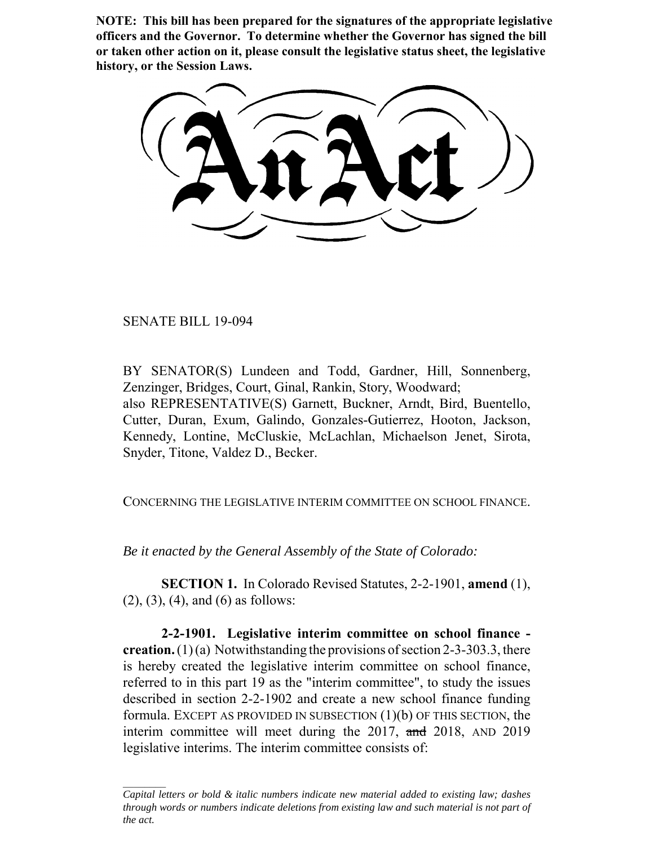**NOTE: This bill has been prepared for the signatures of the appropriate legislative officers and the Governor. To determine whether the Governor has signed the bill or taken other action on it, please consult the legislative status sheet, the legislative history, or the Session Laws.**

SENATE BILL 19-094

BY SENATOR(S) Lundeen and Todd, Gardner, Hill, Sonnenberg, Zenzinger, Bridges, Court, Ginal, Rankin, Story, Woodward; also REPRESENTATIVE(S) Garnett, Buckner, Arndt, Bird, Buentello, Cutter, Duran, Exum, Galindo, Gonzales-Gutierrez, Hooton, Jackson, Kennedy, Lontine, McCluskie, McLachlan, Michaelson Jenet, Sirota, Snyder, Titone, Valdez D., Becker.

CONCERNING THE LEGISLATIVE INTERIM COMMITTEE ON SCHOOL FINANCE.

*Be it enacted by the General Assembly of the State of Colorado:*

**SECTION 1.** In Colorado Revised Statutes, 2-2-1901, **amend** (1), (2), (3), (4), and (6) as follows:

**2-2-1901. Legislative interim committee on school finance creation.** (1) (a) Notwithstanding the provisions of section 2-3-303.3, there is hereby created the legislative interim committee on school finance, referred to in this part 19 as the "interim committee", to study the issues described in section 2-2-1902 and create a new school finance funding formula. EXCEPT AS PROVIDED IN SUBSECTION  $(1)(b)$  OF THIS SECTION, the interim committee will meet during the 2017, and 2018, AND 2019 legislative interims. The interim committee consists of:

*Capital letters or bold & italic numbers indicate new material added to existing law; dashes through words or numbers indicate deletions from existing law and such material is not part of the act.*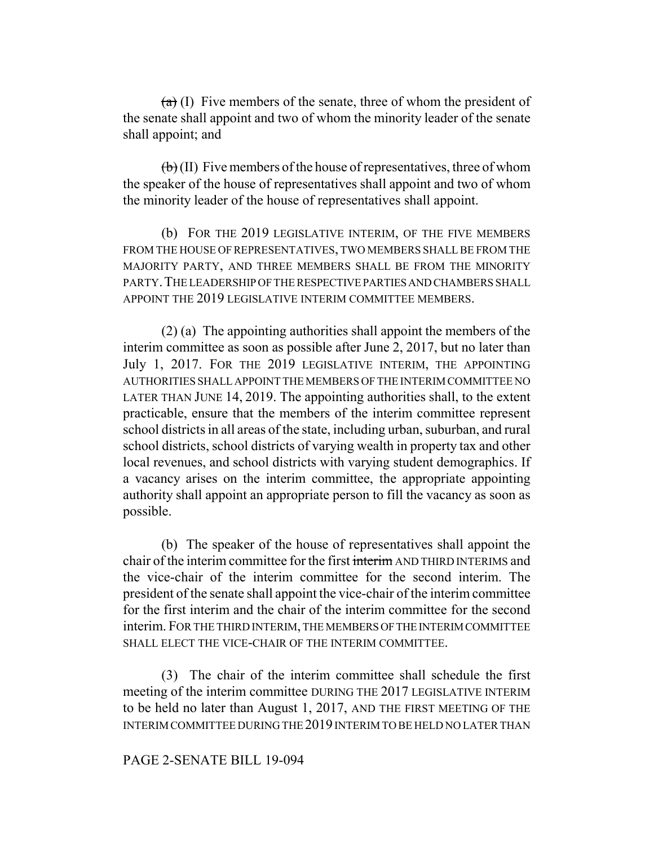$(a)$  (I) Five members of the senate, three of whom the president of the senate shall appoint and two of whom the minority leader of the senate shall appoint; and

 $\left(\mathbf{b}\right)$  (II) Five members of the house of representatives, three of whom the speaker of the house of representatives shall appoint and two of whom the minority leader of the house of representatives shall appoint.

(b) FOR THE 2019 LEGISLATIVE INTERIM, OF THE FIVE MEMBERS FROM THE HOUSE OF REPRESENTATIVES, TWO MEMBERS SHALL BE FROM THE MAJORITY PARTY, AND THREE MEMBERS SHALL BE FROM THE MINORITY PARTY. THE LEADERSHIP OF THE RESPECTIVE PARTIES AND CHAMBERS SHALL APPOINT THE 2019 LEGISLATIVE INTERIM COMMITTEE MEMBERS.

(2) (a) The appointing authorities shall appoint the members of the interim committee as soon as possible after June 2, 2017, but no later than July 1, 2017. FOR THE 2019 LEGISLATIVE INTERIM, THE APPOINTING AUTHORITIES SHALL APPOINT THE MEMBERS OF THE INTERIM COMMITTEE NO LATER THAN JUNE 14, 2019. The appointing authorities shall, to the extent practicable, ensure that the members of the interim committee represent school districts in all areas of the state, including urban, suburban, and rural school districts, school districts of varying wealth in property tax and other local revenues, and school districts with varying student demographics. If a vacancy arises on the interim committee, the appropriate appointing authority shall appoint an appropriate person to fill the vacancy as soon as possible.

(b) The speaker of the house of representatives shall appoint the chair of the interim committee for the first interim AND THIRD INTERIMS and the vice-chair of the interim committee for the second interim. The president of the senate shall appoint the vice-chair of the interim committee for the first interim and the chair of the interim committee for the second interim. FOR THE THIRD INTERIM, THE MEMBERS OF THE INTERIM COMMITTEE SHALL ELECT THE VICE-CHAIR OF THE INTERIM COMMITTEE.

(3) The chair of the interim committee shall schedule the first meeting of the interim committee DURING THE 2017 LEGISLATIVE INTERIM to be held no later than August 1, 2017, AND THE FIRST MEETING OF THE INTERIM COMMITTEE DURING THE 2019 INTERIM TO BE HELD NO LATER THAN

## PAGE 2-SENATE BILL 19-094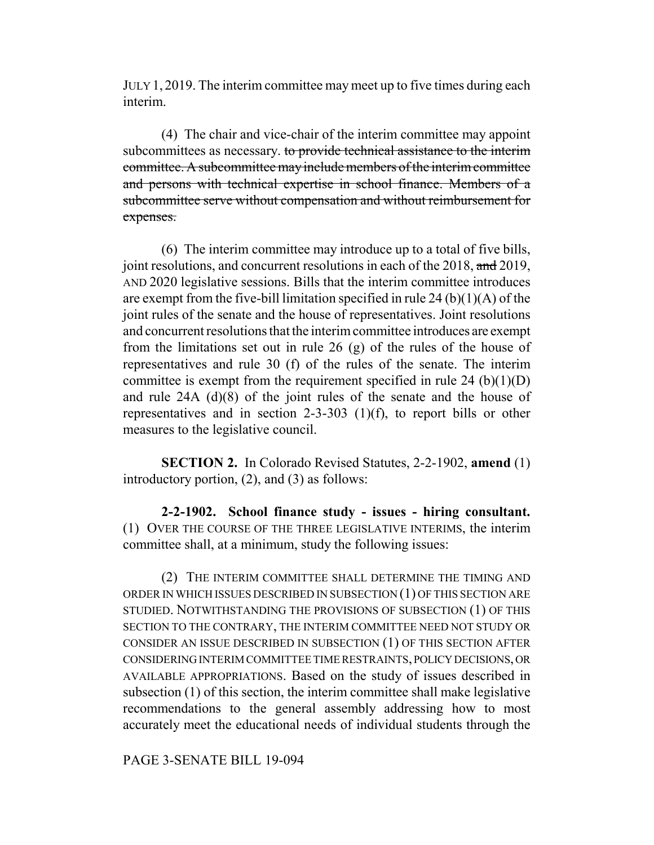JULY 1, 2019. The interim committee may meet up to five times during each interim.

(4) The chair and vice-chair of the interim committee may appoint subcommittees as necessary. to provide technical assistance to the interim committee. A subcommittee may include members of the interim committee and persons with technical expertise in school finance. Members of a subcommittee serve without compensation and without reimbursement for expenses.

(6) The interim committee may introduce up to a total of five bills, joint resolutions, and concurrent resolutions in each of the 2018, and 2019, AND 2020 legislative sessions. Bills that the interim committee introduces are exempt from the five-bill limitation specified in rule 24 (b) $(1)(A)$  of the joint rules of the senate and the house of representatives. Joint resolutions and concurrent resolutions that the interim committee introduces are exempt from the limitations set out in rule 26 (g) of the rules of the house of representatives and rule 30 (f) of the rules of the senate. The interim committee is exempt from the requirement specified in rule 24  $(b)(1)(D)$ and rule 24A (d)(8) of the joint rules of the senate and the house of representatives and in section 2-3-303 (1)(f), to report bills or other measures to the legislative council.

**SECTION 2.** In Colorado Revised Statutes, 2-2-1902, **amend** (1) introductory portion, (2), and (3) as follows:

**2-2-1902. School finance study - issues - hiring consultant.** (1) OVER THE COURSE OF THE THREE LEGISLATIVE INTERIMS, the interim committee shall, at a minimum, study the following issues:

(2) THE INTERIM COMMITTEE SHALL DETERMINE THE TIMING AND ORDER IN WHICH ISSUES DESCRIBED IN SUBSECTION (1) OF THIS SECTION ARE STUDIED. NOTWITHSTANDING THE PROVISIONS OF SUBSECTION (1) OF THIS SECTION TO THE CONTRARY, THE INTERIM COMMITTEE NEED NOT STUDY OR CONSIDER AN ISSUE DESCRIBED IN SUBSECTION (1) OF THIS SECTION AFTER CONSIDERING INTERIM COMMITTEE TIME RESTRAINTS, POLICY DECISIONS, OR AVAILABLE APPROPRIATIONS. Based on the study of issues described in subsection (1) of this section, the interim committee shall make legislative recommendations to the general assembly addressing how to most accurately meet the educational needs of individual students through the

PAGE 3-SENATE BILL 19-094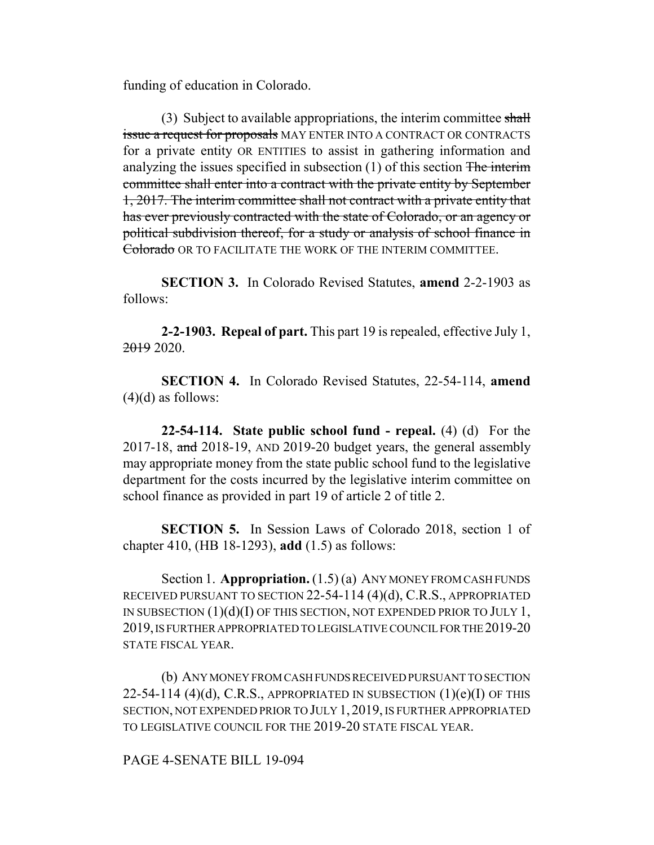funding of education in Colorado.

(3) Subject to available appropriations, the interim committee shall issue a request for proposals MAY ENTER INTO A CONTRACT OR CONTRACTS for a private entity OR ENTITIES to assist in gathering information and analyzing the issues specified in subsection  $(1)$  of this section The interim committee shall enter into a contract with the private entity by September 1, 2017. The interim committee shall not contract with a private entity that has ever previously contracted with the state of Colorado, or an agency or political subdivision thereof, for a study or analysis of school finance in Colorado OR TO FACILITATE THE WORK OF THE INTERIM COMMITTEE.

**SECTION 3.** In Colorado Revised Statutes, **amend** 2-2-1903 as follows:

**2-2-1903. Repeal of part.** This part 19 is repealed, effective July 1, 2019 2020.

**SECTION 4.** In Colorado Revised Statutes, 22-54-114, **amend**  $(4)(d)$  as follows:

**22-54-114. State public school fund - repeal.** (4) (d) For the 2017-18, and 2018-19, AND 2019-20 budget years, the general assembly may appropriate money from the state public school fund to the legislative department for the costs incurred by the legislative interim committee on school finance as provided in part 19 of article 2 of title 2.

**SECTION 5.** In Session Laws of Colorado 2018, section 1 of chapter 410, (HB 18-1293), **add** (1.5) as follows:

Section 1. **Appropriation.** (1.5) (a) ANY MONEY FROM CASH FUNDS RECEIVED PURSUANT TO SECTION 22-54-114 (4)(d), C.R.S., APPROPRIATED IN SUBSECTION (1)(d)(I) OF THIS SECTION, NOT EXPENDED PRIOR TO JULY 1, 2019, IS FURTHER APPROPRIATED TO LEGISLATIVE COUNCIL FOR THE 2019-20 STATE FISCAL YEAR.

(b) ANY MONEY FROM CASH FUNDS RECEIVED PURSUANT TO SECTION 22-54-114 (4)(d), C.R.S., APPROPRIATED IN SUBSECTION  $(1)(e)(I)$  OF THIS SECTION, NOT EXPENDED PRIOR TO JULY 1, 2019, IS FURTHER APPROPRIATED TO LEGISLATIVE COUNCIL FOR THE 2019-20 STATE FISCAL YEAR.

PAGE 4-SENATE BILL 19-094